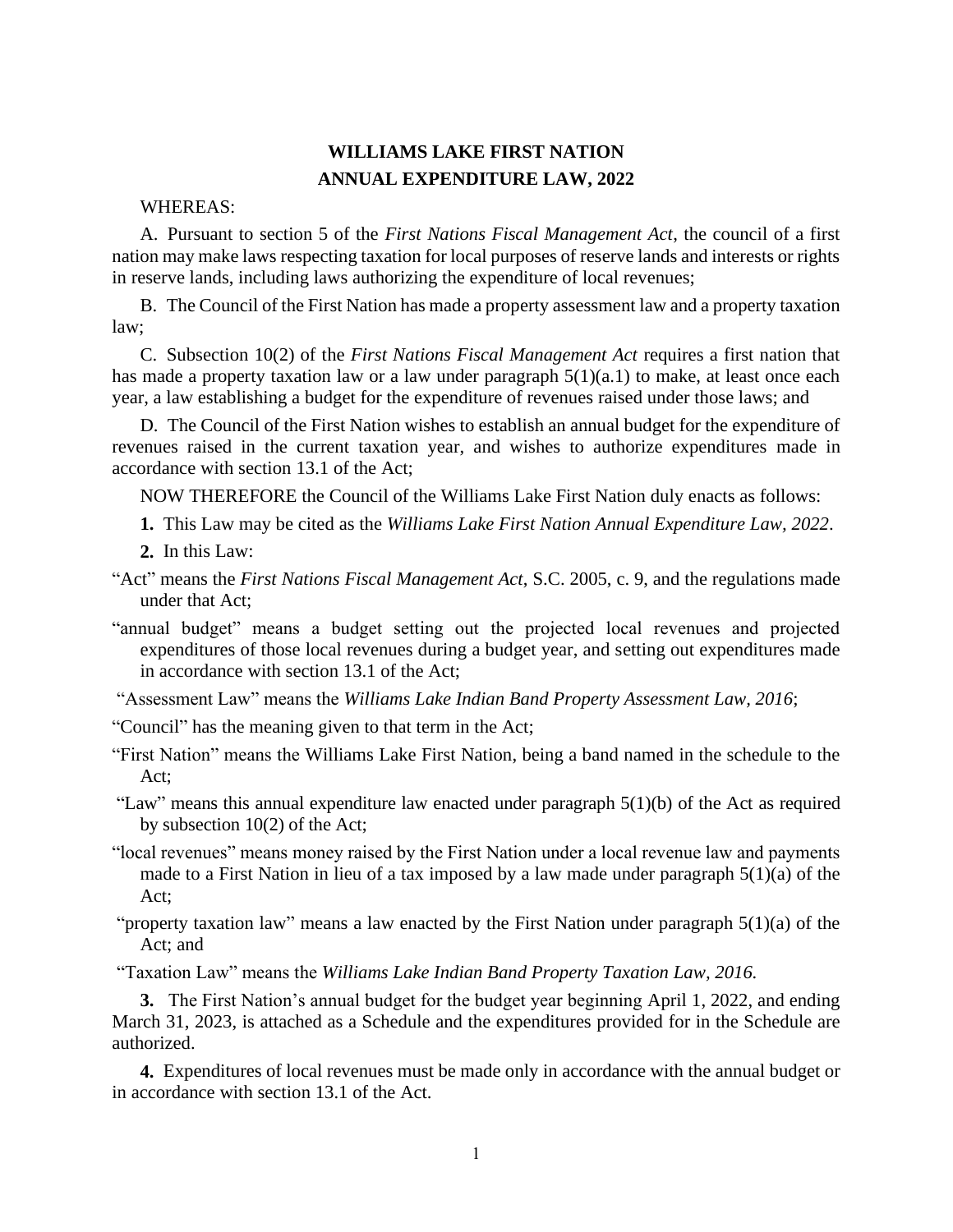# **WILLIAMS LAKE FIRST NATION ANNUAL EXPENDITURE LAW, 2022**

#### WHEREAS:

A. Pursuant to section 5 of the *First Nations Fiscal Management Act*, the council of a first nation may make laws respecting taxation for local purposes of reserve lands and interests or rights in reserve lands, including laws authorizing the expenditure of local revenues;

B. The Council of the First Nation has made a property assessment law and a property taxation law;

C. Subsection 10(2) of the *First Nations Fiscal Management Act* requires a first nation that has made a property taxation law or a law under paragraph  $5(1)(a.1)$  to make, at least once each year, a law establishing a budget for the expenditure of revenues raised under those laws; and

D. The Council of the First Nation wishes to establish an annual budget for the expenditure of revenues raised in the current taxation year, and wishes to authorize expenditures made in accordance with section 13.1 of the Act;

NOW THEREFORE the Council of the Williams Lake First Nation duly enacts as follows:

**1.** This Law may be cited as the *Williams Lake First Nation Annual Expenditure Law, 2022*.

**2.** In this Law:

- "Act" means the *First Nations Fiscal Management Act*, S.C. 2005, c. 9, and the regulations made under that Act;
- "annual budget" means a budget setting out the projected local revenues and projected expenditures of those local revenues during a budget year, and setting out expenditures made in accordance with section 13.1 of the Act;

"Assessment Law" means the *Williams Lake Indian Band Property Assessment Law, 2016*;

"Council" has the meaning given to that term in the Act;

"First Nation" means the Williams Lake First Nation, being a band named in the schedule to the Act;

"Law" means this annual expenditure law enacted under paragraph 5(1)(b) of the Act as required by subsection 10(2) of the Act;

"local revenues" means money raised by the First Nation under a local revenue law and payments made to a First Nation in lieu of a tax imposed by a law made under paragraph 5(1)(a) of the Act;

"property taxation law" means a law enacted by the First Nation under paragraph  $5(1)(a)$  of the Act; and

"Taxation Law" means the *Williams Lake Indian Band Property Taxation Law, 2016.*

**3.** The First Nation's annual budget for the budget year beginning April 1, 2022, and ending March 31, 2023, is attached as a Schedule and the expenditures provided for in the Schedule are authorized.

**4.** Expenditures of local revenues must be made only in accordance with the annual budget or in accordance with section 13.1 of the Act.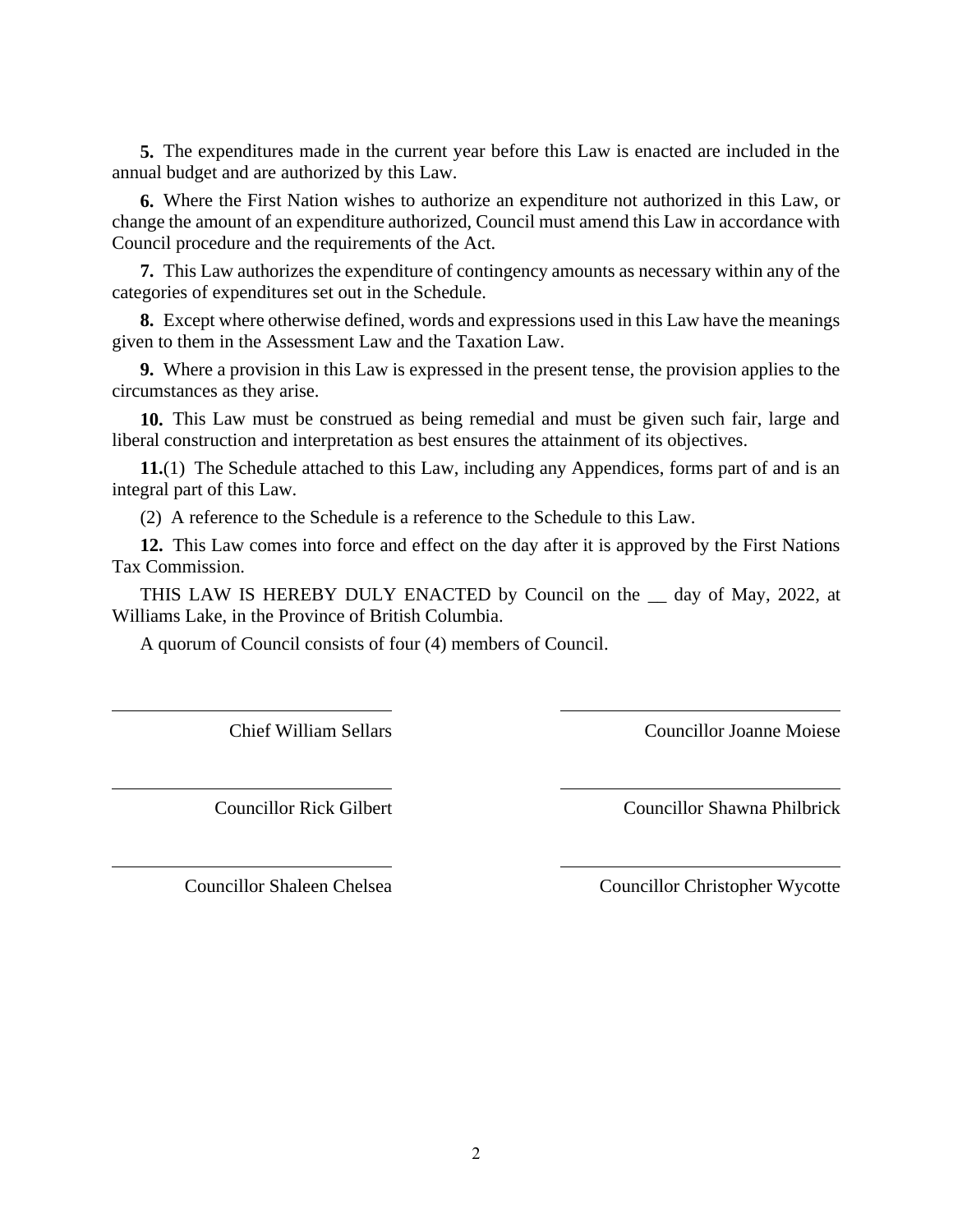**5.** The expenditures made in the current year before this Law is enacted are included in the annual budget and are authorized by this Law.

**6.** Where the First Nation wishes to authorize an expenditure not authorized in this Law, or change the amount of an expenditure authorized, Council must amend this Law in accordance with Council procedure and the requirements of the Act.

**7.** This Law authorizes the expenditure of contingency amounts as necessary within any of the categories of expenditures set out in the Schedule.

**8.** Except where otherwise defined, words and expressions used in this Law have the meanings given to them in the Assessment Law and the Taxation Law.

**9.** Where a provision in this Law is expressed in the present tense, the provision applies to the circumstances as they arise.

**10.** This Law must be construed as being remedial and must be given such fair, large and liberal construction and interpretation as best ensures the attainment of its objectives.

**11.**(1) The Schedule attached to this Law, including any Appendices, forms part of and is an integral part of this Law.

(2) A reference to the Schedule is a reference to the Schedule to this Law.

**12.** This Law comes into force and effect on the day after it is approved by the First Nations Tax Commission.

THIS LAW IS HEREBY DULY ENACTED by Council on the \_\_ day of May, 2022, at Williams Lake, in the Province of British Columbia.

A quorum of Council consists of four (4) members of Council.

Chief William Sellars Councillor Joanne Moiese

Councillor Rick Gilbert Councillor Shawna Philbrick

Councillor Shaleen Chelsea Councillor Christopher Wycotte